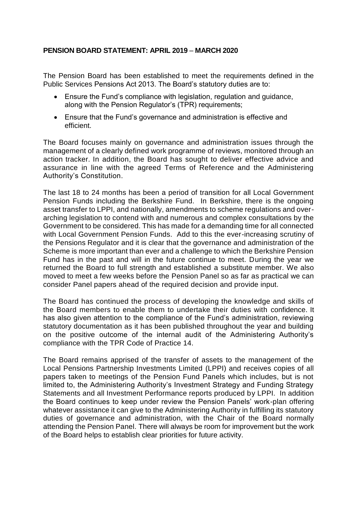# **PENSION BOARD STATEMENT: APRIL 2019** – **MARCH 2020**

The Pension Board has been established to meet the requirements defined in the Public Services Pensions Act 2013. The Board's statutory duties are to:

- Ensure the Fund's compliance with legislation, regulation and guidance, along with the Pension Regulator's (TPR) requirements;
- Ensure that the Fund's governance and administration is effective and efficient.

The Board focuses mainly on governance and administration issues through the management of a clearly defined work programme of reviews, monitored through an action tracker. In addition, the Board has sought to deliver effective advice and assurance in line with the agreed Terms of Reference and the Administering Authority's Constitution.

The last 18 to 24 months has been a period of transition for all Local Government Pension Funds including the Berkshire Fund. In Berkshire, there is the ongoing asset transfer to LPPI, and nationally, amendments to scheme regulations and overarching legislation to contend with and numerous and complex consultations by the Government to be considered. This has made for a demanding time for all connected with Local Government Pension Funds. Add to this the ever-increasing scrutiny of the Pensions Regulator and it is clear that the governance and administration of the Scheme is more important than ever and a challenge to which the Berkshire Pension Fund has in the past and will in the future continue to meet. During the year we returned the Board to full strength and established a substitute member. We also moved to meet a few weeks before the Pension Panel so as far as practical we can consider Panel papers ahead of the required decision and provide input.

The Board has continued the process of developing the knowledge and skills of the Board members to enable them to undertake their duties with confidence. It has also given attention to the compliance of the Fund's administration, reviewing statutory documentation as it has been published throughout the year and building on the positive outcome of the internal audit of the Administering Authority's compliance with the TPR Code of Practice 14.

The Board remains apprised of the transfer of assets to the management of the Local Pensions Partnership Investments Limited (LPPI) and receives copies of all papers taken to meetings of the Pension Fund Panels which includes, but is not limited to, the Administering Authority's Investment Strategy and Funding Strategy Statements and all Investment Performance reports produced by LPPI. In addition the Board continues to keep under review the Pension Panels' work-plan offering whatever assistance it can give to the Administering Authority in fulfilling its statutory duties of governance and administration, with the Chair of the Board normally attending the Pension Panel. There will always be room for improvement but the work of the Board helps to establish clear priorities for future activity.